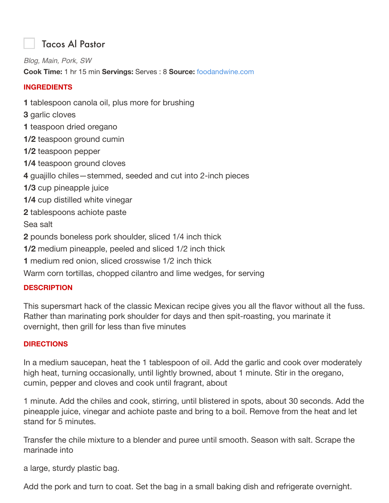## Tacos Al Pastor

*Blog, Main, Pork, SW* **Cook Time:** 1 hr 15 min **Servings:** Serves : 8 **Source:** foodandwine.com

## **INGREDIENTS**

**1** tablespoon canola oil, plus more for brushing

- **3** garlic cloves
- **1** teaspoon dried oregano
- **1/2** teaspoon ground cumin
- **1/2** teaspoon pepper
- **1/4** teaspoon ground cloves
- **4** guajillo chiles—stemmed, seeded and cut into 2-inch pieces
- **1/3** cup pineapple juice
- **1/4** cup distilled white vinegar
- **2** tablespoons achiote paste

Sea salt

- **2** pounds boneless pork shoulder, sliced 1/4 inch thick
- **1/2** medium pineapple, peeled and sliced 1/2 inch thick
- **1** medium red onion, sliced crosswise 1/2 inch thick
- Warm corn tortillas, chopped cilantro and lime wedges, for serving

## **DESCRIPTION**

This supersmart hack of the classic Mexican recipe gives you all the flavor without all the fuss. Rather than marinating pork shoulder for days and then spit-roasting, you marinate it overnight, then grill for less than five minutes

## **DIRECTIONS**

In a medium saucepan, heat the 1 tablespoon of oil. Add the garlic and cook over moderately high heat, turning occasionally, until lightly browned, about 1 minute. Stir in the oregano, cumin, pepper and cloves and cook until fragrant, about

1 minute. Add the chiles and cook, stirring, until blistered in spots, about 30 seconds. Add the pineapple juice, vinegar and achiote paste and bring to a boil. Remove from the heat and let stand for 5 minutes.

Transfer the chile mixture to a blender and puree until smooth. Season with salt. Scrape the marinade into

a large, sturdy plastic bag.

Add the pork and turn to coat. Set the bag in a small baking dish and refrigerate overnight.